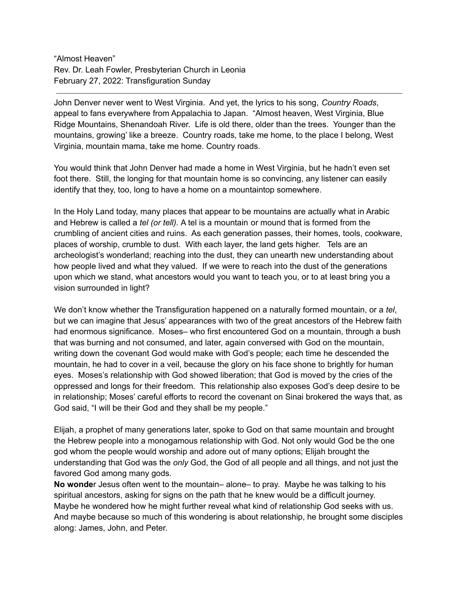"Almost Heaven" Rev. Dr. Leah Fowler, Presbyterian Church in Leonia February 27, 2022: Transfiguration Sunday

John Denver never went to West Virginia. And yet, the lyrics to his song, *Country Roads*, appeal to fans everywhere from Appalachia to Japan. "Almost heaven, West Virginia, Blue Ridge Mountains, Shenandoah River. Life is old there, older than the trees. Younger than the mountains, growing' like a breeze. Country roads, take me home, to the place I belong, West Virginia, mountain mama, take me home. Country roads.

You would think that John Denver had made a home in West Virginia, but he hadn't even set foot there. Still, the longing for that mountain home is so convincing, any listener can easily identify that they, too, long to have a home on a mountaintop somewhere.

In the Holy Land today, many places that appear to be mountains are actually what in Arabic and Hebrew is called a *tel (or tell).* A tel is a mountain or mound that is formed from the crumbling of ancient cities and ruins. As each generation passes, their homes, tools, cookware, places of worship, crumble to dust. With each layer, the land gets higher. Tels are an archeologist's wonderland; reaching into the dust, they can unearth new understanding about how people lived and what they valued. If we were to reach into the dust of the generations upon which we stand, what ancestors would you want to teach you, or to at least bring you a vision surrounded in light?

We don't know whether the Transfiguration happened on a naturally formed mountain, or a *tel*, but we can imagine that Jesus' appearances with two of the great ancestors of the Hebrew faith had enormous significance. Moses– who first encountered God on a mountain, through a bush that was burning and not consumed, and later, again conversed with God on the mountain, writing down the covenant God would make with God's people; each time he descended the mountain, he had to cover in a veil, because the glory on his face shone to brightly for human eyes. Moses's relationship with God showed liberation; that God is moved by the cries of the oppressed and longs for their freedom. This relationship also exposes God's deep desire to be in relationship; Moses' careful efforts to record the covenant on Sinai brokered the ways that, as God said, "I will be their God and they shall be my people."

Elijah, a prophet of many generations later, spoke to God on that same mountain and brought the Hebrew people into a monogamous relationship with God. Not only would God be the one god whom the people would worship and adore out of many options; Elijah brought the understanding that God was the *only* God, the God of all people and all things, and not just the favored God among many gods.

**No wonde**r Jesus often went to the mountain– alone– to pray. Maybe he was talking to his spiritual ancestors, asking for signs on the path that he knew would be a difficult journey. Maybe he wondered how he might further reveal what kind of relationship God seeks with us. And maybe because so much of this wondering is about relationship, he brought some disciples along: James, John, and Peter.